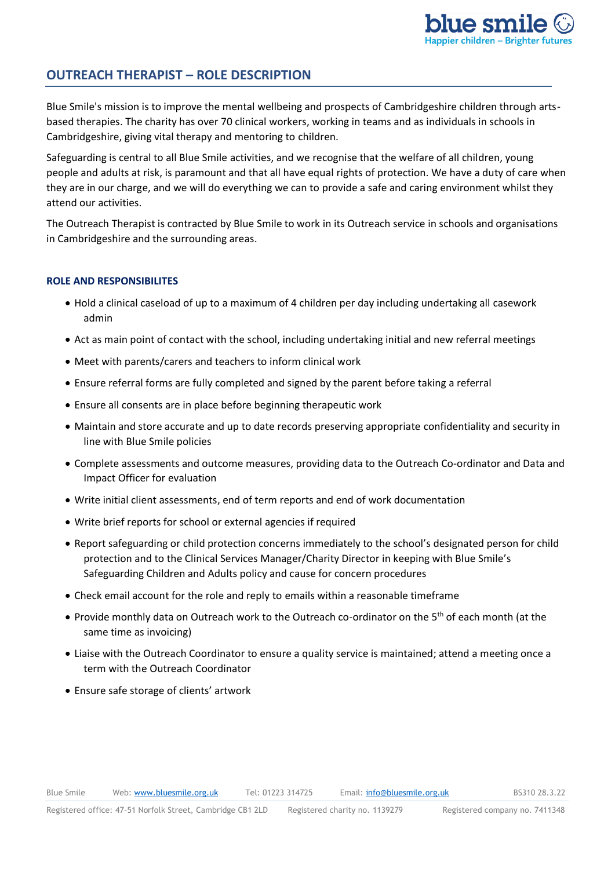# **OUTREACH THERAPIST – ROLE DESCRIPTION**

Blue Smile's mission is to improve the mental wellbeing and prospects of Cambridgeshire children through artsbased therapies. The charity has over 70 clinical workers, working in teams and as individuals in schools in Cambridgeshire, giving vital therapy and mentoring to children.

Safeguarding is central to all Blue Smile activities, and we recognise that the welfare of all children, young people and adults at risk, is paramount and that all have equal rights of protection. We have a duty of care when they are in our charge, and we will do everything we can to provide a safe and caring environment whilst they attend our activities.

The Outreach Therapist is contracted by Blue Smile to work in its Outreach service in schools and organisations in Cambridgeshire and the surrounding areas.

## **ROLE AND RESPONSIBILITES**

- Hold a clinical caseload of up to a maximum of 4 children per day including undertaking all casework admin
- Act as main point of contact with the school, including undertaking initial and new referral meetings
- Meet with parents/carers and teachers to inform clinical work
- Ensure referral forms are fully completed and signed by the parent before taking a referral
- Ensure all consents are in place before beginning therapeutic work
- Maintain and store accurate and up to date records preserving appropriate confidentiality and security in line with Blue Smile policies
- Complete assessments and outcome measures, providing data to the Outreach Co-ordinator and Data and Impact Officer for evaluation
- Write initial client assessments, end of term reports and end of work documentation
- Write brief reports for school or external agencies if required
- Report safeguarding or child protection concerns immediately to the school's designated person for child protection and to the Clinical Services Manager/Charity Director in keeping with Blue Smile's Safeguarding Children and Adults policy and cause for concern procedures
- Check email account for the role and reply to emails within a reasonable timeframe
- Provide monthly data on Outreach work to the Outreach co-ordinator on the 5<sup>th</sup> of each month (at the same time as invoicing)
- Liaise with the Outreach Coordinator to ensure a quality service is maintained; attend a meeting once a term with the Outreach Coordinator
- Ensure safe storage of clients' artwork